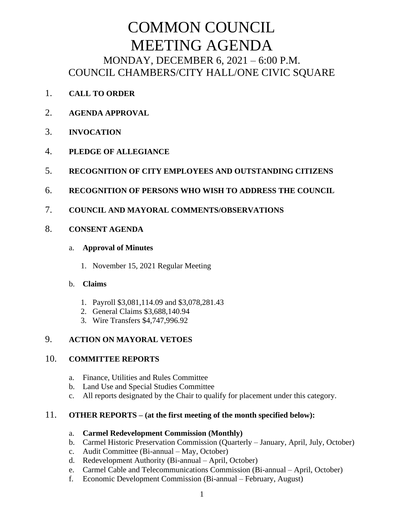# COMMON COUNCIL MEETING AGENDA MONDAY, DECEMBER 6, 2021 – 6:00 P.M. COUNCIL CHAMBERS/CITY HALL/ONE CIVIC SQUARE

- 1. **CALL TO ORDER**
- 2. **AGENDA APPROVAL**
- 3. **INVOCATION**
- 4. **PLEDGE OF ALLEGIANCE**
- 5. **RECOGNITION OF CITY EMPLOYEES AND OUTSTANDING CITIZENS**
- 6. **RECOGNITION OF PERSONS WHO WISH TO ADDRESS THE COUNCIL**
- 7. **COUNCIL AND MAYORAL COMMENTS/OBSERVATIONS**

# 8. **CONSENT AGENDA**

#### a. **Approval of Minutes**

1. November 15, 2021 Regular Meeting

# b. **Claims**

- 1. Payroll \$3,081,114.09 and \$3,078,281.43
- 2. General Claims \$3,688,140.94
- 3. Wire Transfers \$4,747,996.92

# 9. **ACTION ON MAYORAL VETOES**

# 10. **COMMITTEE REPORTS**

- a. Finance, Utilities and Rules Committee
- b. Land Use and Special Studies Committee
- c. All reports designated by the Chair to qualify for placement under this category.

# 11. **OTHER REPORTS – (at the first meeting of the month specified below):**

#### a. **Carmel Redevelopment Commission (Monthly)**

- b. Carmel Historic Preservation Commission (Quarterly January, April, July, October)
- c. Audit Committee (Bi-annual May, October)
- d. Redevelopment Authority (Bi-annual April, October)
- e. Carmel Cable and Telecommunications Commission (Bi-annual April, October)
- f. Economic Development Commission (Bi-annual February, August)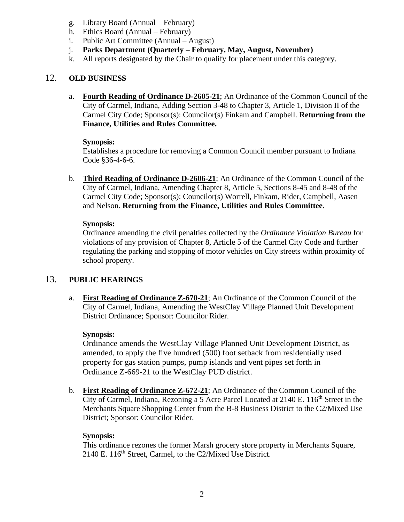- g. Library Board (Annual February)
- h. Ethics Board (Annual February)
- i. Public Art Committee (Annual August)
- j. **Parks Department (Quarterly – February, May, August, November)**
- k. All reports designated by the Chair to qualify for placement under this category.

# 12. **OLD BUSINESS**

a. **Fourth Reading of Ordinance D-2605-21**; An Ordinance of the Common Council of the City of Carmel, Indiana, Adding Section 3-48 to Chapter 3, Article 1, Division II of the Carmel City Code; Sponsor(s): Councilor(s) Finkam and Campbell. **Returning from the Finance, Utilities and Rules Committee.**

# **Synopsis:**

Establishes a procedure for removing a Common Council member pursuant to Indiana Code §36-4-6-6.

b. **Third Reading of Ordinance D-2606-21**; An Ordinance of the Common Council of the City of Carmel, Indiana, Amending Chapter 8, Article 5, Sections 8-45 and 8-48 of the Carmel City Code; Sponsor(s): Councilor(s) Worrell, Finkam, Rider, Campbell, Aasen and Nelson. **Returning from the Finance, Utilities and Rules Committee.**

# **Synopsis:**

Ordinance amending the civil penalties collected by the *Ordinance Violation Bureau* for violations of any provision of Chapter 8, Article 5 of the Carmel City Code and further regulating the parking and stopping of motor vehicles on City streets within proximity of school property.

# 13. **PUBLIC HEARINGS**

a. **First Reading of Ordinance Z-670-21**; An Ordinance of the Common Council of the City of Carmel, Indiana, Amending the WestClay Village Planned Unit Development District Ordinance; Sponsor: Councilor Rider.

# **Synopsis:**

Ordinance amends the WestClay Village Planned Unit Development District, as amended, to apply the five hundred (500) foot setback from residentially used property for gas station pumps, pump islands and vent pipes set forth in Ordinance Z-669-21 to the WestClay PUD district.

b. **First Reading of Ordinance Z-672-21**; An Ordinance of the Common Council of the City of Carmel, Indiana, Rezoning a 5 Acre Parcel Located at 2140 E. 116<sup>th</sup> Street in the Merchants Square Shopping Center from the B-8 Business District to the C2/Mixed Use District; Sponsor: Councilor Rider.

# **Synopsis:**

This ordinance rezones the former Marsh grocery store property in Merchants Square, 2140 E. 116<sup>th</sup> Street, Carmel, to the C2/Mixed Use District.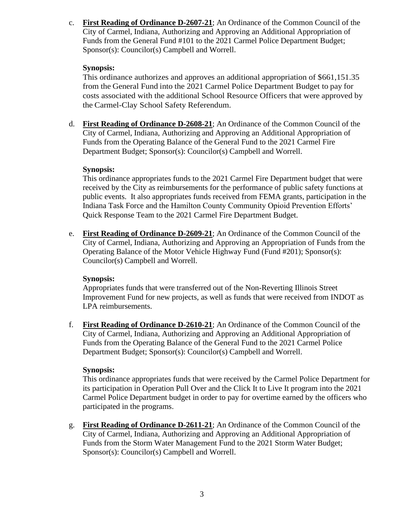c. **First Reading of Ordinance D-2607-21**; An Ordinance of the Common Council of the City of Carmel, Indiana, Authorizing and Approving an Additional Appropriation of Funds from the General Fund #101 to the 2021 Carmel Police Department Budget; Sponsor(s): Councilor(s) Campbell and Worrell.

# **Synopsis:**

This ordinance authorizes and approves an additional appropriation of \$661,151.35 from the General Fund into the 2021 Carmel Police Department Budget to pay for costs associated with the additional School Resource Officers that were approved by the Carmel-Clay School Safety Referendum.

d. **First Reading of Ordinance D-2608-21**; An Ordinance of the Common Council of the City of Carmel, Indiana, Authorizing and Approving an Additional Appropriation of Funds from the Operating Balance of the General Fund to the 2021 Carmel Fire Department Budget; Sponsor(s): Councilor(s) Campbell and Worrell.

# **Synopsis:**

This ordinance appropriates funds to the 2021 Carmel Fire Department budget that were received by the City as reimbursements for the performance of public safety functions at public events. It also appropriates funds received from FEMA grants, participation in the Indiana Task Force and the Hamilton County Community Opioid Prevention Efforts' Quick Response Team to the 2021 Carmel Fire Department Budget.

e. **First Reading of Ordinance D-2609-21**; An Ordinance of the Common Council of the City of Carmel, Indiana, Authorizing and Approving an Appropriation of Funds from the Operating Balance of the Motor Vehicle Highway Fund (Fund #201); Sponsor(s): Councilor(s) Campbell and Worrell.

# **Synopsis:**

Appropriates funds that were transferred out of the Non-Reverting Illinois Street Improvement Fund for new projects, as well as funds that were received from INDOT as LPA reimbursements.

f. **First Reading of Ordinance D-2610-21**; An Ordinance of the Common Council of the City of Carmel, Indiana, Authorizing and Approving an Additional Appropriation of Funds from the Operating Balance of the General Fund to the 2021 Carmel Police Department Budget; Sponsor(s): Councilor(s) Campbell and Worrell.

# **Synopsis:**

This ordinance appropriates funds that were received by the Carmel Police Department for its participation in Operation Pull Over and the Click It to Live It program into the 2021 Carmel Police Department budget in order to pay for overtime earned by the officers who participated in the programs.

g. **First Reading of Ordinance D-2611-21**; An Ordinance of the Common Council of the City of Carmel, Indiana, Authorizing and Approving an Additional Appropriation of Funds from the Storm Water Management Fund to the 2021 Storm Water Budget; Sponsor(s): Councilor(s) Campbell and Worrell.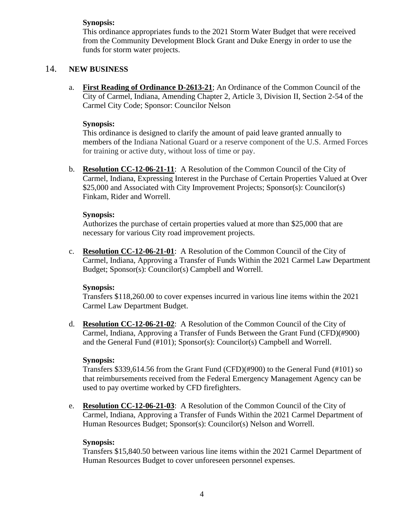# **Synopsis:**

This ordinance appropriates funds to the 2021 Storm Water Budget that were received from the Community Development Block Grant and Duke Energy in order to use the funds for storm water projects.

# 14. **NEW BUSINESS**

a. **First Reading of Ordinance D-2613-21**; An Ordinance of the Common Council of the City of Carmel, Indiana, Amending Chapter 2, Article 3, Division II, Section 2-54 of the Carmel City Code; Sponsor: Councilor Nelson

#### **Synopsis:**

This ordinance is designed to clarify the amount of paid leave granted annually to members of the Indiana National Guard or a reserve component of the U.S. Armed Forces for training or active duty, without loss of time or pay.

b. **Resolution CC-12-06-21-11**: A Resolution of the Common Council of the City of Carmel, Indiana, Expressing Interest in the Purchase of Certain Properties Valued at Over \$25,000 and Associated with City Improvement Projects; Sponsor(s): Councilor(s) Finkam, Rider and Worrell.

#### **Synopsis:**

Authorizes the purchase of certain properties valued at more than \$25,000 that are necessary for various City road improvement projects.

c. **Resolution CC-12-06-21-01**: A Resolution of the Common Council of the City of Carmel, Indiana, Approving a Transfer of Funds Within the 2021 Carmel Law Department Budget; Sponsor(s): Councilor(s) Campbell and Worrell.

# **Synopsis:**

Transfers \$118,260.00 to cover expenses incurred in various line items within the 2021 Carmel Law Department Budget.

d. **Resolution CC-12-06-21-02**: A Resolution of the Common Council of the City of Carmel, Indiana, Approving a Transfer of Funds Between the Grant Fund (CFD)(#900) and the General Fund (#101); Sponsor(s): Councilor(s) Campbell and Worrell.

# **Synopsis:**

Transfers \$339,614.56 from the Grant Fund (CFD)(#900) to the General Fund (#101) so that reimbursements received from the Federal Emergency Management Agency can be used to pay overtime worked by CFD firefighters.

e. **Resolution CC-12-06-21-03**: A Resolution of the Common Council of the City of Carmel, Indiana, Approving a Transfer of Funds Within the 2021 Carmel Department of Human Resources Budget; Sponsor(s): Councilor(s) Nelson and Worrell.

# **Synopsis:**

Transfers \$15,840.50 between various line items within the 2021 Carmel Department of Human Resources Budget to cover unforeseen personnel expenses.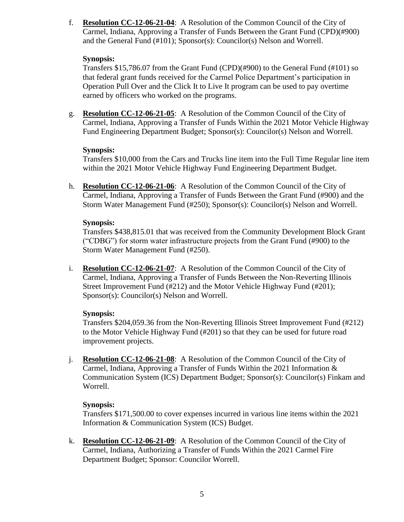f. **Resolution CC-12-06-21-04**: A Resolution of the Common Council of the City of Carmel, Indiana, Approving a Transfer of Funds Between the Grant Fund (CPD)(#900) and the General Fund (#101); Sponsor(s): Councilor(s) Nelson and Worrell.

#### **Synopsis:**

Transfers \$15,786.07 from the Grant Fund (CPD)(#900) to the General Fund (#101) so that federal grant funds received for the Carmel Police Department's participation in Operation Pull Over and the Click It to Live It program can be used to pay overtime earned by officers who worked on the programs.

g. **Resolution CC-12-06-21-05**: A Resolution of the Common Council of the City of Carmel, Indiana, Approving a Transfer of Funds Within the 2021 Motor Vehicle Highway Fund Engineering Department Budget; Sponsor(s): Councilor(s) Nelson and Worrell.

#### **Synopsis:**

Transfers \$10,000 from the Cars and Trucks line item into the Full Time Regular line item within the 2021 Motor Vehicle Highway Fund Engineering Department Budget.

h. **Resolution CC-12-06-21-06**: A Resolution of the Common Council of the City of Carmel, Indiana, Approving a Transfer of Funds Between the Grant Fund (#900) and the Storm Water Management Fund (#250); Sponsor(s): Councilor(s) Nelson and Worrell.

# **Synopsis:**

Transfers \$438,815.01 that was received from the Community Development Block Grant ("CDBG") for storm water infrastructure projects from the Grant Fund (#900) to the Storm Water Management Fund (#250).

i. **Resolution CC-12-06-21-07**: A Resolution of the Common Council of the City of Carmel, Indiana, Approving a Transfer of Funds Between the Non-Reverting Illinois Street Improvement Fund (#212) and the Motor Vehicle Highway Fund (#201); Sponsor(s): Councilor(s) Nelson and Worrell.

# **Synopsis:**

Transfers \$204,059.36 from the Non-Reverting Illinois Street Improvement Fund (#212) to the Motor Vehicle Highway Fund (#201) so that they can be used for future road improvement projects.

j. **Resolution CC-12-06-21-08**: A Resolution of the Common Council of the City of Carmel, Indiana, Approving a Transfer of Funds Within the 2021 Information & Communication System (ICS) Department Budget; Sponsor(s): Councilor(s) Finkam and Worrell.

# **Synopsis:**

Transfers \$171,500.00 to cover expenses incurred in various line items within the 2021 Information & Communication System (ICS) Budget.

k. **Resolution CC-12-06-21-09**: A Resolution of the Common Council of the City of Carmel, Indiana, Authorizing a Transfer of Funds Within the 2021 Carmel Fire Department Budget; Sponsor: Councilor Worrell.